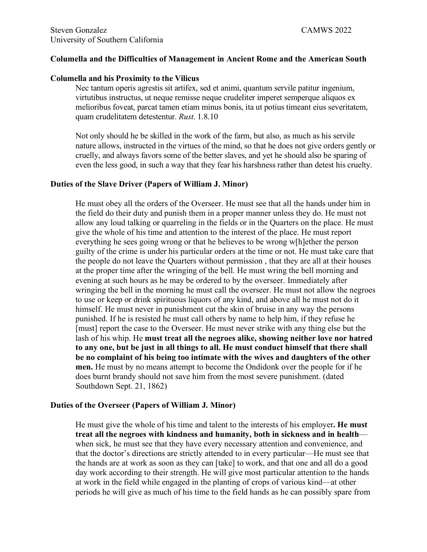## **Columella and the Difficulties of Management in Ancient Rome and the American South**

# **Columella and his Proximity to the Vilicus**

Nec tantum operis agrestis sit artifex, sed et animi, quantum servile patitur ingenium, virtutibus instructus, ut neque remisse neque crudeliter imperet semperque aliquos ex melioribus foveat, parcat tamen etiam minus bonis, ita ut potius timeant eius severitatem, quam crudelitatem detestentur. *Rust*. 1.8.10

Not only should he be skilled in the work of the farm, but also, as much as his servile nature allows, instructed in the virtues of the mind, so that he does not give orders gently or cruelly, and always favors some of the better slaves, and yet he should also be sparing of even the less good, in such a way that they fear his harshness rather than detest his cruelty.

### **Duties of the Slave Driver (Papers of William J. Minor)**

He must obey all the orders of the Overseer. He must see that all the hands under him in the field do their duty and punish them in a proper manner unless they do. He must not allow any loud talking or quarreling in the fields or in the Quarters on the place. He must give the whole of his time and attention to the interest of the place. He must report everything he sees going wrong or that he believes to be wrong w[h]ether the person guilty of the crime is under his particular orders at the time or not. He must take care that the people do not leave the Quarters without permission , that they are all at their houses at the proper time after the wringing of the bell. He must wring the bell morning and evening at such hours as he may be ordered to by the overseer. Immediately after wringing the bell in the morning he must call the overseer. He must not allow the negroes to use or keep or drink spirituous liquors of any kind, and above all he must not do it himself. He must never in punishment cut the skin of bruise in any way the persons punished. If he is resisted he must call others by name to help him, if they refuse he [must] report the case to the Overseer. He must never strike with any thing else but the lash of his whip. He **must treat all the negroes alike, showing neither love nor hatred to any one, but be just in all things to all. He must conduct himself that there shall be no complaint of his being too intimate with the wives and daughters of the other men.** He must by no means attempt to become the Ondidonk over the people for if he does burnt brandy should not save him from the most severe punishment. (dated Southdown Sept. 21, 1862)

#### **Duties of the Overseer (Papers of William J. Minor)**

He must give the whole of his time and talent to the interests of his employer**. He must treat all the negroes with kindness and humanity, both in sickness and in health** when sick, he must see that they have every necessary attention and convenience, and that the doctor's directions are strictly attended to in every particular—He must see that the hands are at work as soon as they can [take] to work, and that one and all do a good day work according to their strength. He will give most particular attention to the hands at work in the field while engaged in the planting of crops of various kind—at other periods he will give as much of his time to the field hands as he can possibly spare from